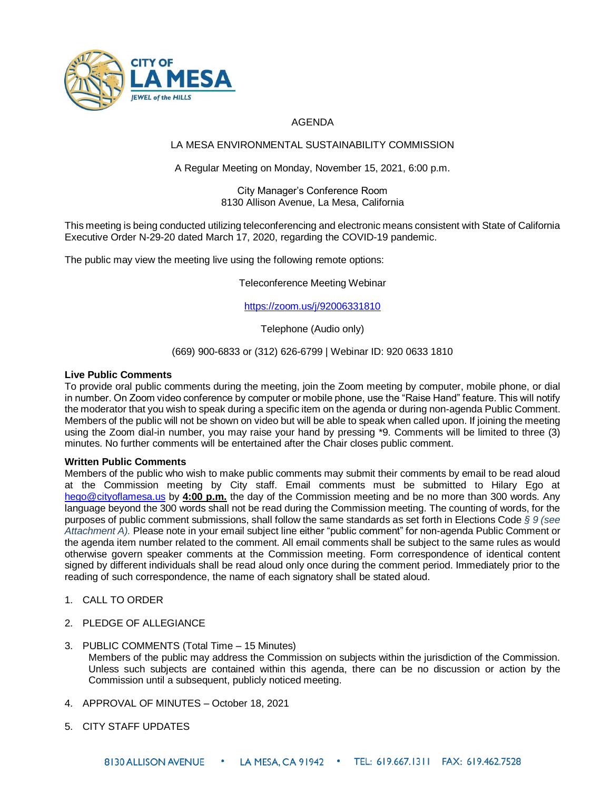

# AGENDA

## LA MESA ENVIRONMENTAL SUSTAINABILITY COMMISSION

## A Regular Meeting on Monday, November 15, 2021, 6:00 p.m.

#### City Manager's Conference Room 8130 Allison Avenue, La Mesa, California

This meeting is being conducted utilizing teleconferencing and electronic means consistent with State of California Executive Order N-29-20 dated March 17, 2020, regarding the COVID-19 pandemic.

The public may view the meeting live using the following remote options:

Teleconference Meeting Webinar

<https://zoom.us/j/92006331810>

Telephone (Audio only)

## (669) 900-6833 or (312) 626-6799 | Webinar ID: 920 0633 1810

## **Live Public Comments**

To provide oral public comments during the meeting, join the Zoom meeting by computer, mobile phone, or dial in number. On Zoom video conference by computer or mobile phone, use the "Raise Hand" feature. This will notify the moderator that you wish to speak during a specific item on the agenda or during non-agenda Public Comment. Members of the public will not be shown on video but will be able to speak when called upon. If joining the meeting using the Zoom dial-in number, you may raise your hand by pressing \*9. Comments will be limited to three (3) minutes. No further comments will be entertained after the Chair closes public comment.

## **Written Public Comments**

Members of the public who wish to make public comments may submit their comments by email to be read aloud at the Commission meeting by City staff. Email comments must be submitted to Hilary Ego at [hego@cityoflamesa.us](mailto:hego@cityoflamesa.us) by **4:00 p.m.** the day of the Commission meeting and be no more than 300 words. Any language beyond the 300 words shall not be read during the Commission meeting. The counting of words, for the purposes of public comment submissions, shall follow the same standards as set forth in Elections Code *§ 9 (see Attachment A).* Please note in your email subject line either "public comment" for non-agenda Public Comment or the agenda item number related to the comment. All email comments shall be subject to the same rules as would otherwise govern speaker comments at the Commission meeting. Form correspondence of identical content signed by different individuals shall be read aloud only once during the comment period. Immediately prior to the reading of such correspondence, the name of each signatory shall be stated aloud.

- 1. CALL TO ORDER
- 2. PLEDGE OF ALLEGIANCE
- 3. PUBLIC COMMENTS (Total Time 15 Minutes)
	- Members of the public may address the Commission on subjects within the jurisdiction of the Commission. Unless such subjects are contained within this agenda, there can be no discussion or action by the Commission until a subsequent, publicly noticed meeting.
- 4. APPROVAL OF MINUTES October 18, 2021
- 5. CITY STAFF UPDATES